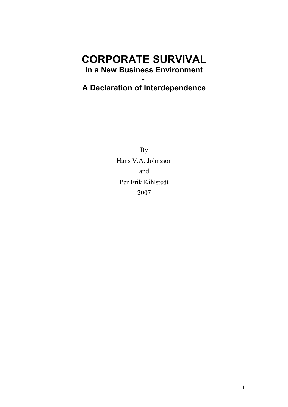# **CORPORATE SURVIVAL In a New Business Environment**

# **A Declaration of Interdependence**

**-** 

By Hans V.A. Johnsson and Per Erik Kihlstedt 2007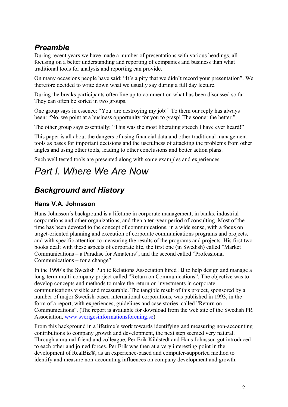## *Preamble*

During recent years we have made a number of presentations with various headings, all focusing on a better understanding and reporting of companies and business than what traditional tools for analysis and reporting can provide.

On many occasions people have said: "It's a pity that we didn't record your presentation". We therefore decided to write down what we usually say during a full day lecture.

During the breaks participants often line up to comment on what has been discussed so far. They can often be sorted in two groups.

One group says in essence: "You are destroying my job!" To them our reply has always been: "No, we point at a business opportunity for you to grasp! The sooner the better."

The other group says essentially: "This was the most liberating speech I have ever heard!"

This paper is all about the dangers of using financial data and other traditional management tools as bases for important decisions and the usefulness of attacking the problems from other angles and using other tools, leading to other conclusions and better action plans.

Such well tested tools are presented along with some examples and experiences.

# *Part I. Where We Are Now*

## *Background and History*

### **Hans V.A. Johnsson**

Hans Johnsson´s background is a lifetime in corporate management, in banks, industrial corporations and other organizations, and then a ten-year period of consulting. Most of the time has been devoted to the concept of communications, in a wide sense, with a focus on target-oriented planning and execution of corporate communications programs and projects, and with specific attention to measuring the results of the programs and projects. His first two books dealt with these aspects of corporate life, the first one (in Swedish) called "Market Communications – a Paradise for Amateurs", and the second called "Professional Communications – for a change"

In the 1990´s the Swedish Public Relations Association hired HJ to help design and manage a long-term multi-company project called "Return on Communications". The objective was to develop concepts and methods to make the return on investments in corporate communications visible and measurable. The tangible result of this project, sponsored by a number of major Swedish-based international corporations, was published in 1993, in the form of a report, with experiences, guidelines and case stories, called "Return on Communications". (The report is available for download from the web site of the Swedish PR Association, [www.sverigesinformationsforening.se\)](http://www.sverigesinformationsforening.se/)

From this background in a lifetime´s work towards identifying and measuring non-accounting contributions to company growth and development, the next step seemed very natural. Through a mutual friend and colleague, Per Erik Kihlstedt and Hans Johnsson got introduced to each other and joined forces. Per Erik was then at a very interesting point in the development of RealBiz®, as an experience-based and computer-supported method to identify and measure non-accounting influences on company development and growth.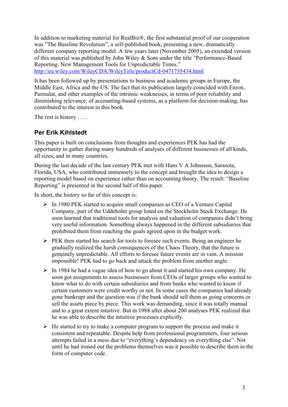In addition to marketing material for RealBiz®, the first substantial proof of our cooperation was "The Baseline Revolution", a self-published book, presenting a new, dramatically different company reporting model. A few years later (November 2005), an extended version of this material was published by John Wiley & Sons under the title "Performance-Based Reporting. New Management Tools for Unpredictable Times."

<http://eu.wiley.com/WileyCDA/WileyTitle/productCd-0471735434.html>

It has been followed up by presentations to business and academic groups in Europe, the Middle East, Africa and the US. The fact that its publication largely coincided with Enron, Parmalat, and other examples of the intrinsic weaknesses, in terms of poor reliability and diminishing relevance, of accounting-based systems, as a platform for decision-making, has contributed to the interest in this book.

The rest is history . . . .

## **Per Erik Kihlstedt**

This paper is built on conclusions from thoughts and experiences PEK has had the opportunity to gather during many hundreds of analyses of different businesses of all kinds, all sizes, and in many countries.

During the last decade of the last century PEK met with Hans V A Johnsson, Sarasota, Florida, USA, who contributed immensely to the concept and brought the idea to design a reporting model based on experience rather than on accounting theory. The result: "Baseline Reporting" is presented in the second half of this paper.

In short, the history so far of this concept is:

- $\triangleright$  In 1980 PEK started to acquire small companies as CEO of a Venture Capital Company, part of the Uddeholm group listed on the Stockholm Stock Exchange. He soon learned that traditional tools for analysis and valuation of companies didn't bring very useful information. Something always happened in the different subsidiaries that prohibited them from reaching the goals agreed upon in the budget work.
- $\triangleright$  PEK then started his search for tools to foresee such events. Being an engineer he gradually realized the harsh consequences of the Chaos Theory, that the future is genuinely unpredictable. All efforts to foresee future events are in vain. A mission impossible! PEK had to go back and attack the problem from another angle.
- $\triangleright$  In 1984 he had a vague idea of how to go about it and started his own company. He soon got assignments to assess businesses from CEOs of larger groups who wanted to know what to do with certain subsidiaries and from banks who wanted to know if certain customers were credit worthy or not. In some cases the companies had already gone bankrupt and the question was if the bank should sell them as going concerns or sell the assets piece by piece. This work was demanding, since it was totally manual and to a great extent intuitive. But in 1988 after about 200 analyses PEK realized that he was able to describe the intuitive processes explicitly.
- $\triangleright$  He started to try to make a computer program to support the process and make it consistent and repeatable. Despite help from professional programmers, four serious attempts failed in a mess due to "everything's dependency on everything else". Not until he had ironed out the problems themselves was it possible to describe them in the form of computer code.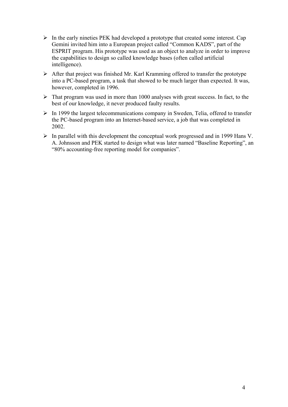- $\triangleright$  In the early nineties PEK had developed a prototype that created some interest. Cap Gemini invited him into a European project called "Common KADS", part of the ESPRIT program. His prototype was used as an object to analyze in order to improve the capabilities to design so called knowledge bases (often called artificial intelligence).
- $\triangleright$  After that project was finished Mr. Karl Kramming offered to transfer the prototype into a PC-based program, a task that showed to be much larger than expected. It was, however, completed in 1996.
- $\triangleright$  That program was used in more than 1000 analyses with great success. In fact, to the best of our knowledge, it never produced faulty results.
- $\triangleright$  In 1999 the largest telecommunications company in Sweden, Telia, offered to transfer the PC-based program into an Internet-based service, a job that was completed in 2002.
- $\triangleright$  In parallel with this development the conceptual work progressed and in 1999 Hans V. A. Johnsson and PEK started to design what was later named "Baseline Reporting", an "80% accounting-free reporting model for companies".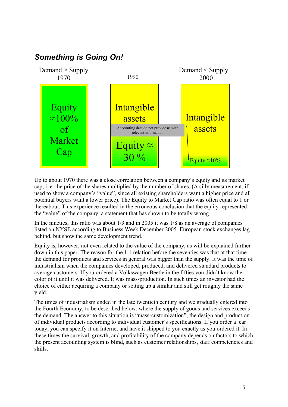

Up to about 1970 there was a close correlation between a company's equity and its market cap, i. e. the price of the shares multiplied by the number of shares. (A silly measurement, if used to show a company's "value", since all existing shareholders want a higher price and all potential buyers want a lower price). The Equity to Market Cap ratio was often equal to 1 or thereabout. This experience resulted in the erroneous conclusion that the equity represented the "value" of the company, a statement that has shown to be totally wrong.

In the nineties, this ratio was about 1/3 and in 2005 it was 1/8 as an average of companies listed on NYSE according to Business Week December 2005. European stock exchanges lag behind, but show the same development trend.

Equity is, however, not even related to the value of the company, as will be explained further down in this paper. The reason for the 1:1 relation before the seventies was that at that time the demand for products and services in general was bigger than the supply. It was the time of industrialism when the companies developed, produced, and delivered standard products to average customers. If you ordered a Volkswagen Beetle in the fifties you didn't know the color of it until it was delivered. It was mass-production. In such times an investor had the choice of either acquiring a company or setting up a similar and still get roughly the same yield.

The times of industrialism ended in the late twentieth century and we gradually entered into the Fourth Economy, to be described below, where the supply of goods and services exceeds the demand. The answer to this situation is "mass-customization", the design and production of individual products according to individual customer's specifications. If you order a car today, you can specify it on Internet and have it shipped to you exactly as you ordered it. In these times the survival, growth, and profitability of the company depends on factors to which the present accounting system is blind, such as customer relationships, staff competencies and skills.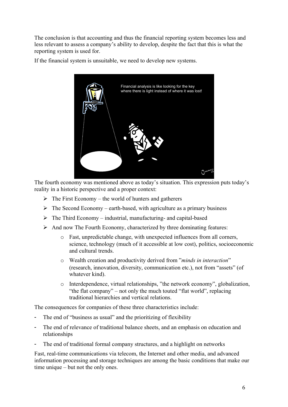The conclusion is that accounting and thus the financial reporting system becomes less and less relevant to assess a company's ability to develop, despite the fact that this is what the reporting system is used for.

If the financial system is unsuitable, we need to develop new systems.



The fourth economy was mentioned above as today's situation. This expression puts today's reality in a historic perspective and a proper context:

- $\triangleright$  The First Economy the world of hunters and gatherers
- $\triangleright$  The Second Economy earth-based, with agriculture as a primary business
- $\triangleright$  The Third Economy industrial, manufacturing- and capital-based
- $\triangleright$  And now The Fourth Economy, characterized by three dominating features:
	- o Fast, unpredictable change, with unexpected influences from all corners, science, technology (much of it accessible at low cost), politics, socioeconomic and cultural trends.
	- o Wealth creation and productivity derived from "*minds in interaction*" (research, innovation, diversity, communication etc.), not from "assets" (of whatever kind).
	- o Interdependence, virtual relationships, "the network economy", globalization, "the flat company" – not only the much touted "flat world", replacing traditional hierarchies and vertical relations.

The consequences for companies of these three characteristics include:

- The end of "business as usual" and the prioritizing of flexibility
- The end of relevance of traditional balance sheets, and an emphasis on education and relationships
- The end of traditional formal company structures, and a highlight on networks

Fast, real-time communications via telecom, the Internet and other media, and advanced information processing and storage techniques are among the basic conditions that make our time unique – but not the only ones.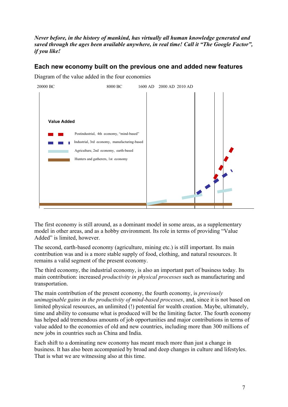*Never before, in the history of mankind, has virtually all human knowledge generated and saved through the ages been available anywhere, in real time! Call it "The Google Factor", if you like!*

### **Each new economy built on the previous one and added new features**



Diagram of the value added in the four economies

The first economy is still around, as a dominant model in some areas, as a supplementary model in other areas, and as a hobby environment. Its role in terms of providing "Value Added" is limited, however.

The second, earth-based economy (agriculture, mining etc.) is still important. Its main contribution was and is a more stable supply of food, clothing, and natural resources. It remains a valid segment of the present economy.

The third economy, the industrial economy, is also an important part of business today. Its main contribution: increased *productivity in physical processes* such as manufacturing and transportation.

The main contribution of the present economy, the fourth economy, is *previously unimaginable gains in the productivity of mind-based processes*, and, since it is not based on limited physical resources, an unlimited (!) potential for wealth creation. Maybe, ultimately, time and ability to consume what is produced will be the limiting factor. The fourth economy has helped add tremendous amounts of job opportunities and major contributions in terms of value added to the economies of old and new countries, including more than 300 millions of new jobs in countries such as China and India.

Each shift to a dominating new economy has meant much more than just a change in business. It has also been accompanied by broad and deep changes in culture and lifestyles. That is what we are witnessing also at this time.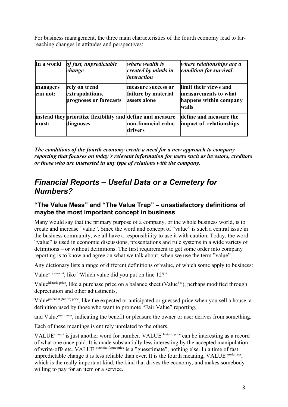For business management, the three main characteristics of the fourth economy lead to farreaching changes in attitudes and perspectives:

| In a world           | of fast, unpredictable<br>change                                        | where wealth is<br>created by minds in<br><i>interaction</i> | where relationships are a<br>condition for survival                              |
|----------------------|-------------------------------------------------------------------------|--------------------------------------------------------------|----------------------------------------------------------------------------------|
| managers<br>can not: | rely on trend<br>extrapolations,<br>prognoses or forecasts              | measure success or<br>failure by material<br>assets alone    | limit their views and<br>measurements to what<br>happens within company<br>walls |
| must:                | instead they prioritize flexibility and define and measure<br>diagnoses | non-financial value<br>drivers                               | define and measure the<br>impact of relationships                                |

*The conditions of the fourth economy create a need for a new approach to company reporting that focuses on today´s relevant information for users such as investors, creditors or those who are interested in any type of relations with the company.* 

## *Financial Reports – Useful Data or a Cemetery for Numbers?*

### **"The Value Mess" and "The Value Trap" – unsatisfactory definitions of maybe the most important concept in business**

Many would say that the primary purpose of a company, or the whole business world, is to create and increase "value". Since the word and concept of "value" is such a central issue in the business community, we all have a responsibility to use it with caution. Today, the word "value" is used in economic discussions, presentations and rule systems in a wide variety of definitions – or without definitions. The first requirement to get some order into company reporting is to know and agree on what we talk about, when we use the term "value".

Any dictionary lists a range of different definitions of value, of which some apply to business:

Value<sup>any amount</sup>, like "Which value did you put on line 12?"

Valuehistoric price, like a purchase price on a balance sheet (Valueh, b.s.), perhaps modified through depreciation and other adjustments,

Valuepotential (future) price, like the expected or anticipated or guessed price when you sell a house, a definition used by those who want to promote "Fair Value" reporting,

and Value<sup>usefulness</sup>, indicating the benefit or pleasure the owner or user derives from something.

Each of these meanings is entirely unrelated to the others.

VALUE<sup>amount</sup> is just another word for number. VALUE historic price can be interesting as a record of what one once paid. It is made substantially less interesting by the accepted manipulation of write-offs etc. VALUE potential future price is a "guesstimate", nothing else. In a time of fast, unpredictable change it is less reliable than ever. It is the fourth meaning, VALUE usefulness, which is the really important kind, the kind that drives the economy, and makes somebody willing to pay for an item or a service.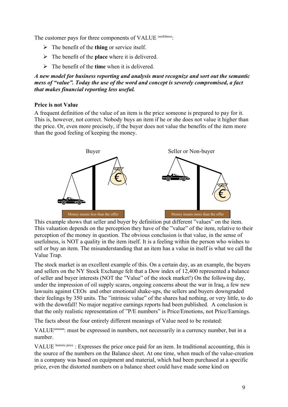The customer pays for three components of VALUE usefulness:

- The benefit of the **thing** or service itself.
- The benefit of the **place** where it is delivered.
- The benefit of the **time** when it is delivered.

*A new model for business reporting and analysis must recognize and sort out the semantic mess of "value". Today the use of the word and concept is severely compromised, a fact that makes financial reporting less useful.*

#### **Price is not Value**

A frequent definition of the value of an item is the price someone is prepared to pay for it. This is, however, not correct. Nobody buys an item if he or she does not value it higher than the price. Or, even more precisely, if the buyer does not value the benefits of the item more than the good feeling of keeping the money.



This example shows that seller and buyer by definition put different "values" on the item. This valuation depends on the perception they have of the "value" of the item, relative to their perception of the money in question. The obvious conclusion is that value, in the sense of usefulness, is NOT a quality in the item itself. It is a feeling within the person who wishes to sell or buy an item. The misunderstanding that an item has a value in itself is what we call the Value Trap.

The stock market is an excellent example of this. On a certain day, as an example, the buyers and sellers on the NY Stock Exchange felt that a Dow index of 12,400 represented a balance of seller and buyer interests (NOT the "Value" of the stock market!) On the following day, under the impression of oil supply scares, ongoing concerns about the war in Iraq, a few new lawsuits against CEOs and other emotional shake-ups, the sellers and buyers downgraded their feelings by 350 units. The "intrinsic value" of the shares had nothing, or very little, to do with the downfall! No major negative earnings reports had been published. A conclusion is that the only realistic representation of "P/E numbers" is Price/Emotions, not Price/Earnings.

The facts about the four entirely different meanings of Value need to be restated:

VALUEamount: must be expressed in numbers, not necessarily in a currency number, but in a number.

VALUE historic price : Expresses the price once paid for an item. In traditional accounting, this is the source of the numbers on the Balance sheet. At one time, when much of the value-creation in a company was based on equipment and material, which had been purchased at a specific price, even the distorted numbers on a balance sheet could have made some kind on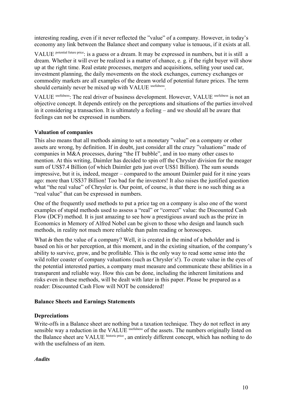interesting reading, even if it never reflected the "value" of a company. However, in today's economy any link between the Balance sheet and company value is tenuous, if it exists at all.

VALUE potential future price: is a guess or a dream. It may be expressed in numbers, but it is still a dream. Whether it will ever be realized is a matter of chance, e. g. if the right buyer will show up at the right time. Real estate processes, mergers and acquisitions, selling your used car, investment planning, the daily movements on the stock exchanges, currency exchanges or commodity markets are all examples of the dream world of potential future prices. The term should certainly never be mixed up with VALUE usefulness.

VALUE usefulness: The real driver of business development. However, VALUE usefulness is not an objective concept. It depends entirely on the perceptions and situations of the parties involved in it considering a transaction. It is ultimately a feeling – and we should all be aware that feelings can not be expressed in numbers.

#### **Valuation of companies**

This also means that all methods aiming to set a monetary "value" on a company or other assets are wrong, by definition. If in doubt, just consider all the crazy "valuations" made of companies in M&A processes, during "the IT bubble", and in too many other cases to mention. At this writing, Daimler has decided to spin off the Chrysler division for the meager sum of US\$7.4 Billion (of which Daimler gets just over US\$1 Billion). The sum sounds impressive, but it is, indeed, meager – compared to the amount Daimler paid for it nine years ago: more than US\$37 Billion! Too bad for the investors! It also raises the justified question what "the real value" of Chrysler is. Our point, of course, is that there is no such thing as a "real value" that can be expressed in numbers.

One of the frequently used methods to put a price tag on a company is also one of the worst examples of stupid methods used to assess a "real" or "correct" value: the Discounted Cash Flow (DCF) method. It is just amazing to see how a prestigious award such as the prize in Economics in Memory of Alfred Nobel can be given to those who design and launch such methods, in reality not much more reliable than palm reading or horoscopes.

What *is* then the value of a company? Well, it is created in the mind of a beholder and is based on his or her perception, at this moment, and in the existing situation, of the company's ability to survive, grow, and be profitable. This is the only way to read some sense into the wild roller coaster of company valuations (such as Chrysler's!). To create value in the eyes of the potential interested parties, a company must measure and communicate these abilities in a transparent and reliable way. How this can be done, including the inherent limitations and risks even in these methods, will be dealt with later in this paper. Please be prepared as a reader: Discounted Cash Flow will NOT be considered!

#### **Balance Sheets and Earnings Statements**

#### **Depreciations**

Write-offs in a Balance sheet are nothing but a taxation technique. They do not reflect in any sensible way a reduction in the VALUE usefulness of the assets. The numbers originally listed on the Balance sheet are VALUE historic price, an entirely different concept, which has nothing to do with the usefulness of an item.

#### *Audits*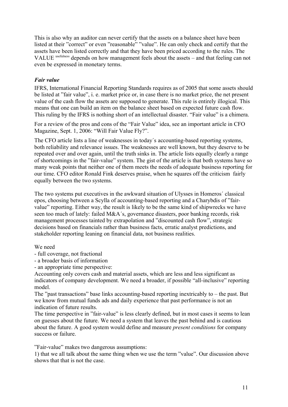This is also why an auditor can never certify that the assets on a balance sheet have been listed at their "correct" or even "reasonable" "value". He can only check and certify that the assets have been listed correctly and that they have been priced according to the rules. The VALUE usefulness depends on how management feels about the assets – and that feeling can not even be expressed in monetary terms.

#### *Fair value*

IFRS, International Financial Reporting Standards requires as of 2005 that some assets should be listed at "fair value", i. e. market price or, in case there is no market price, the net present value of the cash flow the assets are supposed to generate. This rule is entirely illogical. This means that one can build an item on the balance sheet based on expected future cash flow. This ruling by the IFRS is nothing short of an intellectual disaster. "Fair value" is a chimera.

For a review of the pros and cons of the "Fair Value" idea, see an important article in CFO Magazine, Sept. 1, 2006: "Will Fair Value Fly?".

The CFO article lists a line of weaknesses in today´s accounting-based reporting systems, both reliability and relevance issues. The weaknesses are well known, but they deserve to be repeated over and over again, until the truth sinks in. The article lists equally clearly a range of shortcomings in the "fair-value" system. The gist of the article is that both systems have so many weak points that neither one of them meets the needs of adequate business reporting for our time. CFO editor Ronald Fink deserves praise, when he squares off the criticism fairly equally between the two systems.

The two systems put executives in the awkward situation of Ulysses in Homeros´ classical epos, choosing between a Scylla of accounting-based reporting and a Charybdis of "fairvalue" reporting. Either way, the result is likely to be the same kind of shipwrecks we have seen too much of lately: failed M&A´s, governance disasters, poor banking records, risk management processes tainted by extrapolation and "discounted cash flow", strategic decisions based on financials rather than business facts, erratic analyst predictions, and stakeholder reporting leaning on financial data, not business realities.

#### We need

- full coverage, not fractional
- a broader basis of information
- an appropriate time perspective:

Accounting only covers cash and material assets, which are less and less significant as indicators of company development. We need a broader, if possible "all-inclusive" reporting model.

The "past transactions" base links accounting-based reporting inextricably to – the past. But we know from mutual funds ads and daily experience that past performance is not an indication of future results.

The time perspective in "fair-value" is less clearly defined, but in most cases it seems to lean on guesses about the future. We need a system that leaves the past behind and is cautious about the future. A good system would define and measure *present conditions* for company success or failure.

"Fair-value" makes two dangerous assumptions:

1) that we all talk about the same thing when we use the term "value". Our discussion above shows that that is not the case.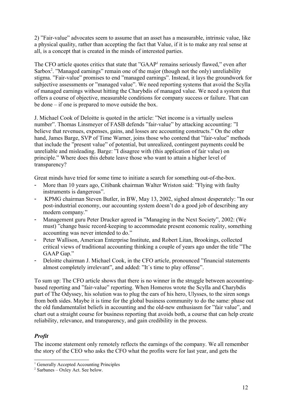2) "Fair-value" advocates seem to assume that an asset has a measurable, intrinsic value, like a physical quality, rather than accepting the fact that Value, if it is to make any real sense at all, is a concept that is created in the minds of interested parties.

The CFO article quotes critics that state that "GAAP<sup>[1](#page-11-0)</sup> remains seriously flawed," even after Sarbox<sup>[2](#page-11-1)</sup>. "Managed earnings" remain one of the major (though not the only) unreliability stigma. "Fair-value" promises to end "managed earnings". Instead, it lays the groundwork for subjective assessments or "managed value". We need reporting systems that avoid the Scylla of managed earnings without hitting the Charybdis of managed value. We need a system that offers a course of objective, measurable conditions for company success or failure. That can be done – if one is prepared to move outside the box.

J. Michael Cook of Deloitte is quoted in the article: "Net income is a virtually useless number". Thomas Linsmeyer of FASB defends "fair-value" by attacking accounting: "I believe that revenues, expenses, gains, and losses are accounting constructs." On the other hand, James Barge, SVP of Time Warner, joins those who contend that "fair-value" methods that include the "present value" of potential, but unrealized, contingent payments could be unreliable and misleading. Barge: "I disagree with (this application of fair value) on principle." Where does this debate leave those who want to attain a higher level of transparency?

Great minds have tried for some time to initiate a search for something out-of-the-box.

- More than 10 years ago, Citibank chairman Walter Wriston said: "Flying with faulty" instruments is dangerous".
- KPMG chairman Steven Butler, in BW, May 13, 2002, sighed almost desperately: "In our post-industrial economy, our accounting system doesn't do a good job of describing any modern company."
- Management guru Peter Drucker agreed in "Managing in the Next Society", 2002: (We must) "change basic record-keeping to accommodate present economic reality, something accounting was never intended to do."
- Peter Wallison, American Enterprise Institute, and Robert Litan, Brookings, collected critical views of traditional accounting thinking a couple of years ago under the title "The GAAP Gap."
- Deloitte chairman J. Michael Cook, in the CFO article, pronounced "financial statements almost completely irrelevant", and added: "It´s time to play offense".

To sum up: The CFO article shows that there is no winner in the struggle between accountingbased reporting and "fair-value" reporting. When Homeros wrote the Scylla and Charybdis part of The Odyssey, his solution was to plug the ears of his hero, Ulysses, to the siren songs from both sides. Maybe it is time for the global business community to do the same: phase out the old fundamentalist beliefs in accounting and the old-new enthusiasm for "fair value", and chart out a straight course for business reporting that avoids both, a course that can help create reliability, relevance, and transparency, and gain credibility in the process.

#### *Profit*

The income statement only remotely reflects the earnings of the company. We all remember the story of the CEO who asks the CFO what the profits were for last year, and gets the

<span id="page-11-0"></span><sup>&</sup>lt;sup>1</sup> Generally Accepted Accounting Principles

<span id="page-11-1"></span> $2$  Sarbanes – Oxley Act. See below.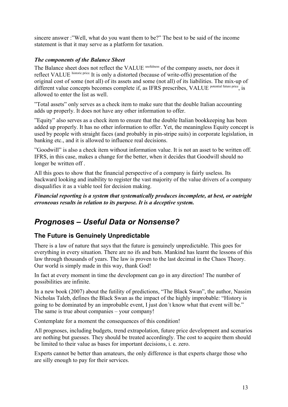sincere answer :"Well, what do you want them to be?" The best to be said of the income statement is that it may serve as a platform for taxation.

#### *The components of the Balance Sheet*

The Balance sheet does not reflect the VALUE usefulness of the company assets, nor does it reflect VALUE historic price. It is only a distorted (because of write-offs) presentation of the original cost of some (not all) of its assets and some (not all) of its liabilities. The mix-up of different value concepts becomes complete if, as IFRS prescribes, VALUE potential future price, is allowed to enter the list as well.

"Total assets" only serves as a check item to make sure that the double Italian accounting adds up properly. It does not have any other information to offer.

"Equity" also serves as a check item to ensure that the double Italian bookkeeping has been added up properly. It has no other information to offer. Yet, the meaningless Equity concept is used by people with straight faces (and probably in pin-stripe suits) in corporate legislation, in banking etc., and it is allowed to influence real decisions.

"Goodwill" is also a check item without information value. It is not an asset to be written off. IFRS, in this case, makes a change for the better, when it decides that Goodwill should no longer be written off .

All this goes to show that the financial perspective of a company is fairly useless. Its backward looking and inability to register the vast majority of the value drivers of a company disqualifies it as a viable tool for decision making.

*Financial reporting is a system that systematically produces incomplete, at best, or outright erroneous results in relation to its purpose. It is a deceptive system.*

## *Prognoses – Useful Data or Nonsense?*

## **The Future is Genuinely Unpredictable**

There is a law of nature that says that the future is genuinely unpredictable. This goes for everything in every situation. There are no ifs and buts. Mankind has learnt the lessons of this law through thousands of years. The law is proven to the last decimal in the Chaos Theory. Our world is simply made in this way, thank God!

In fact at every moment in time the development can go in any direction! The number of possibilities are infinite.

In a new book (2007) about the futility of predictions, "The Black Swan", the author, Nassim Nicholas Taleb, defines the Black Swan as the impact of the highly improbable: "History is going to be dominated by an improbable event, I just don´t know what that event will be." The same is true about companies – your company!

Contemplate for a moment the consequences of this condition!

All prognoses, including budgets, trend extrapolation, future price development and scenarios are nothing but guesses. They should be treated accordingly. The cost to acquire them should be limited to their value as bases for important decisions, i. e. zero.

Experts cannot be better than amateurs, the only difference is that experts charge those who are silly enough to pay for their services.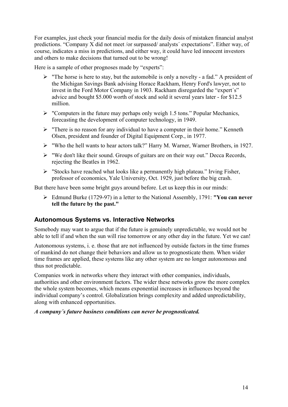For examples, just check your financial media for the daily dosis of mistaken financial analyst predictions. "Company X did not meet /or surpassed/ analysts´ expectations". Either way, of course, indicates a miss in predictions, and either way, it could have led innocent investors and others to make decisions that turned out to be wrong!

Here is a sample of other prognoses made by "experts":

- $\triangleright$  "The horse is here to stay, but the automobile is only a novelty a fad." A president of the Michigan Savings Bank advising Horace Rackham, Henry Ford's lawyer, not to invest in the Ford Motor Company in 1903. Rackham disregarded the "expert´s" advice and bought \$5.000 worth of stock and sold it several years later - for \$12.5 million.
- $\triangleright$  "Computers in the future may perhaps only weigh 1.5 tons." Popular Mechanics, forecasting the development of computer technology, in 1949.
- $\triangleright$  "There is no reason for any individual to have a computer in their home." Kenneth Olsen, president and founder of Digital Equipment Corp., in 1977.
- "Who the hell wants to hear actors talk?" Harry M. Warner, Warner Brothers, in 1927.
- $\triangleright$  "We don't like their sound. Groups of guitars are on their way out." Decca Records, rejecting the Beatles in 1962.
- $\triangleright$  "Stocks have reached what looks like a permanently high plateau." Irving Fisher, professor of economics, Yale University, Oct. 1929, just before the big crash.

But there have been some bright guys around before. Let us keep this in our minds:

 Edmund Burke (1729-97) in a letter to the National Assembly, 1791: **"You can never tell the future by the past."**

#### **Autonomous Systems vs. Interactive Networks**

Somebody may want to argue that if the future is genuinely unpredictable, we would not be able to tell if and when the sun will rise tomorrow or any other day in the future. Yet we can!

Autonomous systems, i. e. those that are not influenced by outside factors in the time frames of mankind do not change their behaviors and allow us to prognosticate them. When wider time frames are applied, these systems like any other system are no longer autonomous and thus not predictable.

Companies work in networks where they interact with other companies, individuals, authorities and other environment factors. The wider these networks grow the more complex the whole system becomes, which means exponential increases in influences beyond the individual company's control. Globalization brings complexity and added unpredictability, along with enhanced opportunities.

#### *A company´s future business conditions can never be prognosticated.*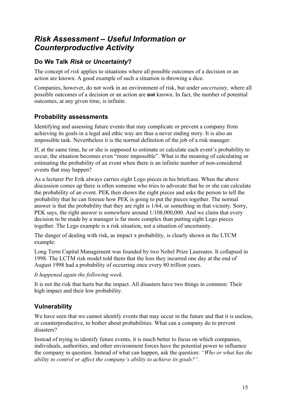## *Risk Assessment – Useful Information or Counterproductive Activity*

## **Do We Talk** *Risk* **or** *Uncertainty***?**

The concept of *risk* applies to situations where all possible outcomes of a decision or an action are known. A good example of such a situation is throwing a dice.

Companies, however, do not work in an environment of risk, but under *uncertainty,* where all possible outcomes of a decision or an action are **not** known. In fact, the number of potential outcomes, at any given time, is infinite.

## **Probability assessments**

Identifying and assessing future events that may complicate or prevent a company from achieving its goals in a legal and ethic way are thus a never ending story. It is also an impossible task. Nevertheless it is the normal definition of the job of a risk manager.

If, at the same time, he or she is supposed to estimate or calculate each event's probability to occur, the situation becomes even "more impossible". What is the meaning of calculating or estimating the probability of an event when there is an infinite number of non-considered events that may happen?

As a lecturer Per Erik always carries eight Lego pieces in his briefcase. When the above discussion comes up there is often someone who tries to advocate that he or she can calculate the probability of an event. PEK then shows the eight pieces and asks the person to tell the probability that he can foresee how PEK is going to put the pieces together. The normal answer is that the probability that they are right is 1/64, or something in that vicinity. Sorry, PEK says, the right answer is somewhere around 1/108,000,000. And we claim that every decision to be made by a manager is far more complex than putting eight Lego pieces together. The Lego example is a risk situation, not a situation of uncertainty.

The danger of dealing with risk, as impact x probability, is clearly shown in the LTCM example:

Long Term Capital Management was founded by two Nobel Prize Laureates. It collapsed in 1998. The LCTM risk model told them that the loss they incurred one day at the end of August 1998 had a probability of occurring once every 80 trillion years.

#### *It happened again the following week.*

It is not the risk that hurts but the impact. All disasters have two things in common: Their high impact and their low probability.

## **Vulnerability**

We have seen that we cannot identify events that may occur in the future and that it is useless, or counterproductive, to bother about probabilities. What can a company do to prevent disasters?

Instead of trying to identify future events, it is much better to focus on which companies, individuals, authorities, and other environment forces have the potential power to influence the company in question. Instead of what can happen, ask the question: *"Who or what has the ability to control or affect the company's ability to achieve its goals?".*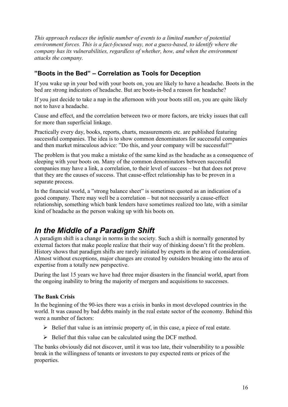*This approach reduces the infinite number of events to a limited number of potential environment forces. This is a fact-focused way, not a guess-based, to identify where the company has its vulnerabilities, regardless of whether, how, and when the environment attacks the company.* 

### **"Boots in the Bed" – Correlation as Tools for Deception**

If you wake up in your bed with your boots on, you are likely to have a headache. Boots in the bed are strong indicators of headache. But are boots-in-bed a reason for headache?

If you just decide to take a nap in the afternoon with your boots still on, you are quite likely not to have a headache.

Cause and effect, and the correlation between two or more factors, are tricky issues that call for more than superficial linkage.

Practically every day, books, reports, charts, measurements etc. are published featuring successful companies. The idea is to show common denominators for successful companies and then market miraculous advice: "Do this, and your company will be successful!"

The problem is that you make a mistake of the same kind as the headache as a consequence of sleeping with your boots on. Many of the common denominators between successful companies may have a link, a correlation, to their level of success – but that does not prove that they are the causes of success. That cause-effect relationship has to be proven in a separate process.

In the financial world, a "strong balance sheet" is sometimes quoted as an indication of a good company. There may well be a correlation – but not necessarily a cause-effect relationship, something which bank lenders have sometimes realized too late, with a similar kind of headache as the person waking up with his boots on.

## *In the Middle of a Paradigm Shift*

A paradigm shift is a change in norms in the society. Such a shift is normally generated by external factors that make people realize that their way of thinking doesn't fit the problem. History shows that paradigm shifts are rarely initiated by experts in the area of consideration. Almost without exceptions, major changes are created by outsiders breaking into the area of expertise from a totally new perspective.

During the last 15 years we have had three major disasters in the financial world, apart from the ongoing inability to bring the majority of mergers and acquisitions to successes.

#### **The Bank Crisis**

In the beginning of the 90-ies there was a crisis in banks in most developed countries in the world. It was caused by bad debts mainly in the real estate sector of the economy. Behind this were a number of factors:

- $\triangleright$  Belief that value is an intrinsic property of, in this case, a piece of real estate.
- $\triangleright$  Belief that this value can be calculated using the DCF method.

The banks obviously did not discover, until it was too late, their vulnerability to a possible break in the willingness of tenants or investors to pay expected rents or prices of the properties.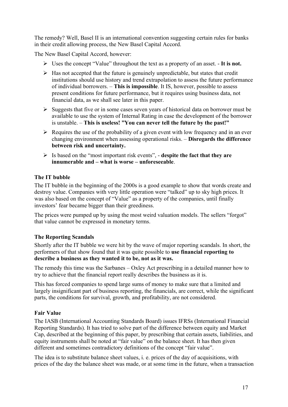The remedy? Well, Basel II is an international convention suggesting certain rules for banks in their credit allowing process, the New Basel Capital Accord.

The New Basel Capital Accord, however:

- Uses the concept "Value" throughout the text as a property of an asset. **It is not.**
- $\triangleright$  Has not accepted that the future is genuinely unpredictable, but states that credit institutions should use history and trend extrapolation to assess the future performance of individual borrowers. – **This is impossible**. It IS, however, possible to assess present conditions for future performance, but it requires using business data, not financial data, as we shall see later in this paper.
- $\triangleright$  Suggests that five or in some cases seven years of historical data on borrower must be available to use the system of Internal Rating in case the development of the borrower is unstable. – **This is useless! "You can never tell the future by the past!"**
- $\triangleright$  Requires the use of the probability of a given event with low frequency and in an ever changing environment when assessing operational risks. – **Disregards the difference between risk and uncertainty.**
- Is based on the "most important risk events", **despite the fact that they are innumerable and – what is worse – unforeseeable**.

#### **The IT bubble**

The IT bubble in the beginning of the 2000s is a good example to show that words create and destroy value. Companies with very little operation were "talked" up to sky high prices. It was also based on the concept of "Value" as a property of the companies, until finally investors' fear became bigger than their greediness.

The prices were pumped up by using the most weird valuation models. The sellers "forgot" that value cannot be expressed in monetary terms.

#### **The Reporting Scandals**

Shortly after the IT bubble we were hit by the wave of major reporting scandals. In short, the performers of that show found that it was quite possible to **use financial reporting to describe a business as they wanted it to be, not as it was.**

The remedy this time was the Sarbanes – Oxley Act prescribing in a detailed manner how to try to achieve that the financial report really describes the business as it is.

This has forced companies to spend large sums of money to make sure that a limited and largely insignificant part of business reporting, the financials, are correct, while the significant parts, the conditions for survival, growth, and profitability, are not considered.

#### **Fair Value**

The IASB (International Accounting Standards Board) issues IFRSs (International Financial Reporting Standards). It has tried to solve part of the difference between equity and Market Cap, described at the beginning of this paper, by prescribing that certain assets, liabilities, and equity instruments shall be noted at "fair value" on the balance sheet. It has then given different and sometimes contradictory definitions of the concept "fair value".

The idea is to substitute balance sheet values, i. e. prices of the day of acquisitions, with prices of the day the balance sheet was made, or at some time in the future, when a transaction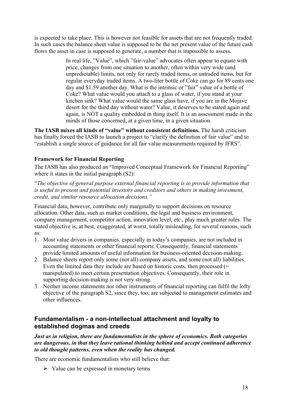is expected to take place. This is however not feasible for assets that are not frequently traded. In such cases the balance sheet value is supposed to be the net present value of the future cash flows the asset in case is supposed to generate, a number that is impossible to assess.

> In real life, "Value", which "fair-value" advocates often appear to equate with price, changes from one situation to another, often within very wide (and unpredictable) limits, not only for rarely traded items, or untraded items, but for regular everyday traded items. A two-liter bottle of Coke can go for 89 cents one day and \$1.59 another day. What is the intrinsic or "fair" value of a bottle of Coke? What value would you attach to a glass of water, if you stand at your kitchen sink? What value would the same glass have, if you are in the Mojave desert for the third day without water? Value, it deserves to be stated again and again, is NOT a quality embedded in thing itself. It is an assessment made in the minds of those concerned, at a given time, in a given situation.

**The IASB mixes all kinds of "value" without consistent definitions.** The harsh criticism has finally forced the IASB to launch a project to "clarify the definition of fair value" and to "establish a single source of guidance for all fair value measurements required by IFRS".

#### **Framework for Financial Reporting**

The IASB has also produced an "Improved Conceptual Framework for Financial Reporting" where it states in the initial paragraph  $(S2)$ :

"*The objective of general purpose external financial reporting is to provide information that is useful to present and potential investors and creditors and others in making investment, credit, and similar resource allocation decisions."*

Financial data, however, contribute only marginally to support decisions on resource allocation. Other data, such as market conditions, the legal and business environment, company management, competitor action, innovation level, etc., play much greater roles. The stated objective is, at best, exaggerated, at worst, totally misleading, for several reasons, such as:

- 1. Most value drivers in companies, especially in today's companies, are not included in accounting statements or other financial reports. Consequently, financial statements provide limited amounts of useful information for business-oriented decision-making.
- 2. Balance sheets report only some (not all) company assets, and some (not all) liabilities. Even the limited data they include are based on historic costs, then processed (= manipulated) to meet certain presentation objectives. Consequently, their role in supporting decision-making is not very strong.
- 3. Neither income statements nor other instruments of financial reporting can fulfil the lofty objective of the paragraph S2, since they, too, are subjected to management estimates and other influences.

### **Fundamentalism - a non-intellectual attachment and loyalty to established dogmas and creeds**

*Just as in religion, there are fundamentalists in the sphere of economics. Both categories are dangerous, in that they leave rational thinking behind and accept continued adherence to old thought patterns, even when the reality has changed.* 

There are economic fundamentalists who still believe that:

 $\triangleright$  Value can be expressed in monetary terms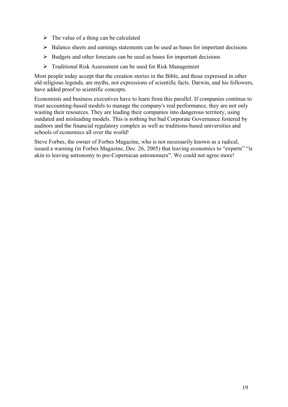- $\triangleright$  The value of a thing can be calculated
- $\triangleright$  Balance sheets and earnings statements can be used as bases for important decisions
- $\triangleright$  Budgets and other forecasts can be used as bases for important decisions
- Traditional Risk Assessment can be used for Risk Management

Most people today accept that the creation stories in the Bible, and those expressed in other old religious legends, are myths, not expressions of scientific facts. Darwin, and his followers, have added proof to scientific concepts.

Economists and business executives have to learn from this parallel. If companies continue to trust accounting-based models to manage the company's real performance, they are not only wasting their resources. They are leading their companies into dangerous territory, using outdated and misleading models. This is nothing but bad Corporate Governance fostered by auditors and the financial regulatory complex as well as traditions-based universities and schools of economics all over the world!

Steve Forbes, the owner of Forbes Magazine, who is not necessarily known as a radical, issued a warning (in Forbes Magazine, Dec. 26, 2005) that leaving economics to "experts" "is akin to leaving astronomy to pre-Copernican astronomers". We could not agree more!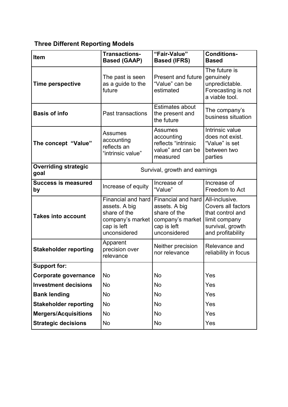## **Three Different Reporting Models**

| Item                                | <b>Transactions-</b><br><b>Based (GAAP)</b>                                                            | "Fair-Value"<br><b>Based (IFRS)</b>                                                                    | <b>Conditions-</b><br><b>Based</b>                                                                                 |
|-------------------------------------|--------------------------------------------------------------------------------------------------------|--------------------------------------------------------------------------------------------------------|--------------------------------------------------------------------------------------------------------------------|
| <b>Time perspective</b>             | The past is seen<br>as a guide to the<br>future                                                        | <b>Present and future</b><br>"Value" can be<br>estimated                                               | The future is<br>genuinely<br>unpredictable.<br>Forecasting is not<br>a viable tool.                               |
| <b>Basis of info</b>                | Past transactions                                                                                      | <b>Estimates about</b><br>the present and<br>the future                                                | The company's<br>business situation                                                                                |
| The concept "Value"                 | <b>Assumes</b><br>accounting<br>reflects an<br>"intrinsic value"                                       | <b>Assumes</b><br>accounting<br>reflects "intrinsic<br>value" and can be<br>measured                   | Intrinsic value<br>does not exist.<br>"Value" is set<br>between two<br>parties                                     |
| <b>Overriding strategic</b><br>goal | Survival, growth and earnings                                                                          |                                                                                                        |                                                                                                                    |
| <b>Success is measured</b><br>by    | Increase of equity                                                                                     | Increase of<br>"Value"                                                                                 | Increase of<br>Freedom to Act                                                                                      |
| <b>Takes into account</b>           | Financial and hard<br>assets. A big<br>share of the<br>company's market<br>cap is left<br>unconsidered | Financial and hard<br>assets. A big<br>share of the<br>company's market<br>cap is left<br>unconsidered | All-inclusive.<br>Covers all factors<br>that control and<br>limit company<br>survival, growth<br>and profitability |
| <b>Stakeholder reporting</b>        | Apparent<br>precision over<br>relevance                                                                | Neither precision<br>nor relevance                                                                     | Relevance and<br>reliability in focus                                                                              |
| <b>Support for:</b>                 |                                                                                                        |                                                                                                        |                                                                                                                    |
| Corporate governance                | <b>No</b>                                                                                              | No                                                                                                     | Yes                                                                                                                |
| <b>Investment decisions</b>         | No                                                                                                     | No                                                                                                     | Yes                                                                                                                |
| <b>Bank lending</b>                 | No.                                                                                                    | No                                                                                                     | Yes                                                                                                                |
| <b>Stakeholder reporting</b>        | No                                                                                                     | No                                                                                                     | Yes                                                                                                                |
| <b>Mergers/Acquisitions</b>         | <b>No</b>                                                                                              | No                                                                                                     | Yes                                                                                                                |
| <b>Strategic decisions</b>          | <b>No</b>                                                                                              | No                                                                                                     | Yes                                                                                                                |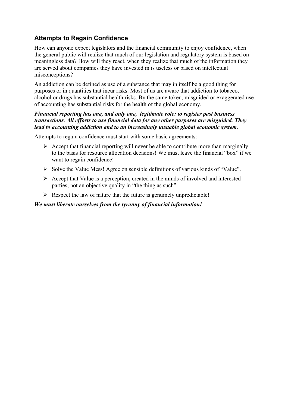## **Attempts to Regain Confidence**

How can anyone expect legislators and the financial community to enjoy confidence, when the general public will realize that much of our legislation and regulatory system is based on meaningless data? How will they react, when they realize that much of the information they are served about companies they have invested in is useless or based on intellectual misconceptions?

An addiction can be defined as use of a substance that may in itself be a good thing for purposes or in quantities that incur risks. Most of us are aware that addiction to tobacco, alcohol or drugs has substantial health risks. By the same token, misguided or exaggerated use of accounting has substantial risks for the health of the global economy.

#### *Financial reporting has one, and only one, legitimate role: to register past business transactions. All efforts to use financial data for any other purposes are misguided. They lead to accounting addiction and to an increasingly unstable global economic system.*

Attempts to regain confidence must start with some basic agreements:

- $\triangleright$  Accept that financial reporting will never be able to contribute more than marginally to the basis for resource allocation decisions! We must leave the financial "box" if we want to regain confidence!
- $\triangleright$  Solve the Value Mess! Agree on sensible definitions of various kinds of "Value".
- $\triangleright$  Accept that Value is a perception, created in the minds of involved and interested parties, not an objective quality in "the thing as such".
- $\triangleright$  Respect the law of nature that the future is genuinely unpredictable!

#### *We must liberate ourselves from the tyranny of financial information!*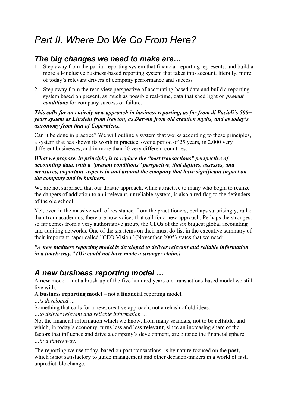# *Part II. Where Do We Go From Here?*

## *The big changes we need to make are…*

- 1. Step away from the partial reporting system that financial reporting represents, and build a more all-inclusive business-based reporting system that takes into account, literally, more of today's relevant drivers of company performance and success
- 2. Step away from the rear-view perspective of accounting-based data and build a reporting system based on present, as much as possible real-time, data that shed light on *present conditions* for company success or failure.

#### *This calls for an entirely new approach in business reporting, as far from di Pacioli´s 500+ years system as Einstein from Newton, as Darwin from old creation myths, and as today's astronomy from that of Copernicus.*

Can it be done in practice? We will outline a system that works according to these principles, a system that has shown its worth in practice, over a period of 25 years, in 2.000 very different businesses, and in more than 20 very different countries.

#### *What we propose, in principle, is to replace the "past transactions" perspective of accounting data, with a "present conditions" perspective, that defines, assesses, and measures, important aspects in and around the company that have significant impact on the company and its business.*

We are not surprised that our drastic approach, while attractive to many who begin to realize the dangers of addiction to an irrelevant, unreliable system, is also a red flag to the defenders of the old school.

Yet, even in the massive wall of resistance, from the practitioners, perhaps surprisingly, rather than from academics, there are now voices that call for a new approach. Perhaps the strongest so far comes from a very authoritative group, the CEOs of the six biggest global accounting and auditing networks. One of the six items on their must do-list in the executive summary of their important paper called "CEO Vision" (November 2005) states that we need:

*"A new business reporting model is developed to deliver relevant and reliable information in a timely way." (We could not have made a stronger claim.)*

## *A new business reporting model …*

A **new** model – not a brush-up of the five hundred years old transactions-based model we still live with.

#### A **business reporting model** – not a **financial** reporting model.

*…is developed …*

Something that calls for a new, creative approach, not a rehash of old ideas.

*…to deliver relevant and reliable information …*

Not the financial information which we know, from many scandals, not to be **reliable**, and which, in today's economy, turns less and less **relevant**, since an increasing share of the factors that influence and drive a company's development, are outside the financial sphere. *…in a timely way.*

The reporting we use today, based on past transactions, is by nature focused on the **past,** which is not satisfactory to guide management and other decision-makers in a world of fast, unpredictable change.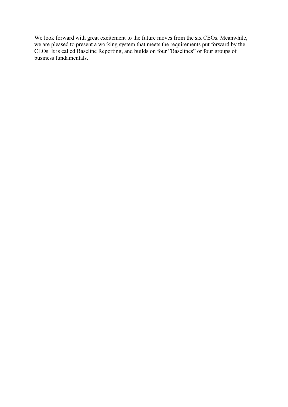We look forward with great excitement to the future moves from the six CEOs. Meanwhile, we are pleased to present a working system that meets the requirements put forward by the CEOs. It is called Baseline Reporting, and builds on four "Baselines" or four groups of business fundamentals.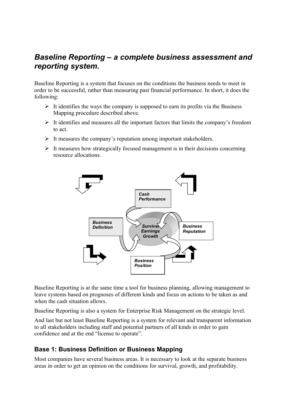## *Baseline Reporting – a complete business assessment and reporting system.*

Baseline Reporting is a system that focuses on the conditions the business needs to meet in order to be successful, rather than measuring past financial performance. In short, it does the following:

- $\triangleright$  It identifies the ways the company is supposed to earn its profits via the Business Mapping procedure described above.
- $\triangleright$  It identifies and measures all the important factors that limits the company's freedom to act.
- $\triangleright$  It measures the company's reputation among important stakeholders.
- $\triangleright$  It measures how strategically focused management is in their decisions concerning resource allocations.



Baseline Reporting is at the same time a tool for business planning, allowing management to leave systems based on prognoses of different kinds and focus on actions to be taken as and when the cash situation allows.

Baseline Reporting is also a system for Enterprise Risk Management on the strategic level.

And last but not least Baseline Reporting is a system for relevant and transparent information to all stakeholders including staff and potential partners of all kinds in order to gain confidence and at the end "license to operate".

## **Base 1: Business Definition or Business Mapping**

Most companies have several business areas. It is necessary to look at the separate business areas in order to get an opinion on the conditions for survival, growth, and profitability.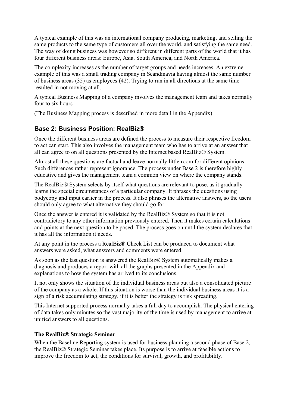A typical example of this was an international company producing, marketing, and selling the same products to the same type of customers all over the world, and satisfying the same need. The way of doing business was however so different in different parts of the world that it has four different business areas: Europe, Asia, South America, and North America.

The complexity increases as the number of target groups and needs increases. An extreme example of this was a small trading company in Scandinavia having almost the same number of business areas (35) as employees (42). Trying to run in all directions at the same time resulted in not moving at all.

A typical Business Mapping of a company involves the management team and takes normally four to six hours.

(The Business Mapping process is described in more detail in the Appendix)

### **Base 2: Business Position: RealBiz®**

Once the different business areas are defined the process to measure their respective freedom to act can start. This also involves the management team who has to arrive at an answer that all can agree to on all questions presented by the Internet based RealBiz® System.

Almost all these questions are factual and leave normally little room for different opinions. Such differences rather represent ignorance. The process under Base 2 is therefore highly educative and gives the management team a common view on where the company stands.

The RealBiz® System selects by itself what questions are relevant to pose, as it gradually learns the special circumstances of a particular company. It phrases the questions using bodycopy and input earlier in the process. It also phrases the alternative answers, so the users should only agree to what alternative they should go for.

Once the answer is entered it is validated by the RealBiz® System so that it is not contradictory to any other information previously entered. Then it makes certain calculations and points at the next question to be posed. The process goes on until the system declares that it has all the information it needs.

At any point in the process a RealBiz® Check List can be produced to document what answers were asked, what answers and comments were entered.

As soon as the last question is answered the RealBiz® System automatically makes a diagnosis and produces a report with all the graphs presented in the Appendix and explanations to how the system has arrived to its conclusions.

It not only shows the situation of the individual business areas but also a consolidated picture of the company as a whole. If this situation is worse than the individual business areas it is a sign of a risk accumulating strategy, if it is better the strategy is risk spreading.

This Internet supported process normally takes a full day to accomplish. The physical entering of data takes only minutes so the vast majority of the time is used by management to arrive at unified answers to all questions.

#### **The RealBiz® Strategic Seminar**

When the Baseline Reporting system is used for business planning a second phase of Base 2, the RealBiz® Strategic Seminar takes place. Its purpose is to arrive at feasible actions to improve the freedom to act, the conditions for survival, growth, and profitability.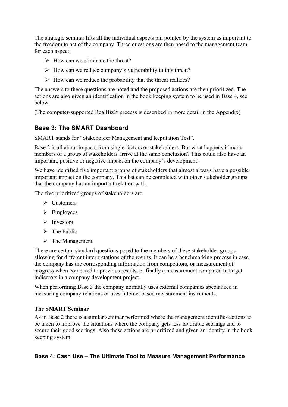The strategic seminar lifts all the individual aspects pin pointed by the system as important to the freedom to act of the company. Three questions are then posed to the management team for each aspect:

- $\triangleright$  How can we eliminate the threat?
- $\triangleright$  How can we reduce company's vulnerability to this threat?
- $\triangleright$  How can we reduce the probability that the threat realizes?

The answers to these questions are noted and the proposed actions are then prioritized. The actions are also given an identification in the book keeping system to be used in Base 4, see below.

(The computer-supported RealBiz® process is described in more detail in the Appendix)

### **Base 3: The SMART Dashboard**

SMART stands for "Stakeholder Management and Reputation Test".

Base 2 is all about impacts from single factors or stakeholders. But what happens if many members of a group of stakeholders arrive at the same conclusion? This could also have an important, positive or negative impact on the company's development.

We have identified five important groups of stakeholders that almost always have a possible important impact on the company. This list can be completed with other stakeholder groups that the company has an important relation with.

The five prioritized groups of stakeholders are:

- **►** Customers
- $\triangleright$  Employees
- $\triangleright$  Investors
- $\triangleright$  The Public
- $\triangleright$  The Management

There are certain standard questions posed to the members of these stakeholder groups allowing for different interpretations of the results. It can be a benchmarking process in case the company has the corresponding information from competitors, or measurement of progress when compared to previous results, or finally a measurement compared to target indicators in a company development project.

When performing Base 3 the company normally uses external companies specialized in measuring company relations or uses Internet based measurement instruments.

#### **The SMART Seminar**

As in Base 2 there is a similar seminar performed where the management identifies actions to be taken to improve the situations where the company gets less favorable scorings and to secure their good scorings. Also these actions are prioritized and given an identity in the book keeping system.

#### **Base 4: Cash Use – The Ultimate Tool to Measure Management Performance**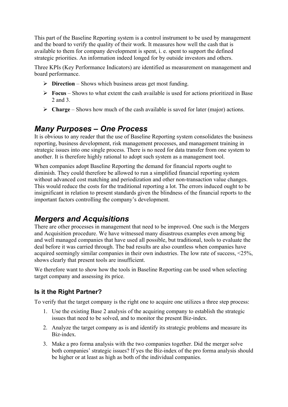This part of the Baseline Reporting system is a control instrument to be used by management and the board to verify the quality of their work. It measures how well the cash that is available to them for company development is spent, i. e. spent to support the defined strategic priorities. An information indeed longed for by outside investors and others.

Three KPIs (Key Performance Indicators) are identified as measurement on management and board performance.

- **Direction** Shows which business areas get most funding.
- **Focus** Shows to what extent the cash available is used for actions prioritized in Base 2 and 3.
- **Charge** Shows how much of the cash available is saved for later (major) actions.

## *Many Purposes – One Process*

It is obvious to any reader that the use of Baseline Reporting system consolidates the business reporting, business development, risk management processes, and management training in strategic issues into one single process. There is no need for data transfer from one system to another. It is therefore highly rational to adopt such system as a management tool.

When companies adopt Baseline Reporting the demand for financial reports ought to diminish. They could therefore be allowed to run a simplified financial reporting system without advanced cost matching and periodization and other non-transaction value changes. This would reduce the costs for the traditional reporting a lot. The errors induced ought to be insignificant in relation to present standards given the blindness of the financial reports to the important factors controlling the company's development.

## *Mergers and Acquisitions*

There are other processes in management that need to be improved. One such is the Mergers and Acquisition procedure. We have witnessed many disastrous examples even among big and well managed companies that have used all possible, but traditional, tools to evaluate the deal before it was carried through. The bad results are also countless when companies have acquired seemingly similar companies in their own industries. The low rate of success, <25%, shows clearly that present tools are insufficient.

We therefore want to show how the tools in Baseline Reporting can be used when selecting target company and assessing its price.

### **Is it the Right Partner?**

To verify that the target company is the right one to acquire one utilizes a three step process:

- 1. Use the existing Base 2 analysis of the acquiring company to establish the strategic issues that need to be solved, and to monitor the present Biz-index.
- 2. Analyze the target company as is and identify its strategic problems and measure its Biz-index.
- 3. Make a pro forma analysis with the two companies together. Did the merger solve both companies' strategic issues? If yes the Biz-index of the pro forma analysis should be higher or at least as high as both of the individual companies.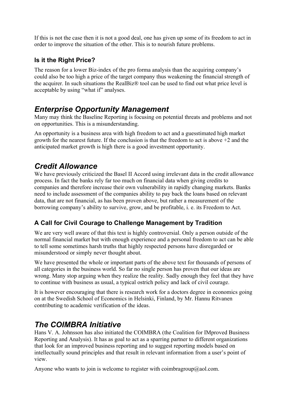If this is not the case then it is not a good deal, one has given up some of its freedom to act in order to improve the situation of the other. This is to nourish future problems.

## **Is it the Right Price?**

The reason for a lower Biz-index of the pro forma analysis than the acquiring company's could also be too high a price of the target company thus weakening the financial strength of the acquirer. In such situations the RealBiz® tool can be used to find out what price level is acceptable by using "what if" analyses.

## *Enterprise Opportunity Management*

Many may think the Baseline Reporting is focusing on potential threats and problems and not on opportunities. This is a misunderstanding.

An opportunity is a business area with high freedom to act and a guesstimated high market growth for the nearest future. If the conclusion is that the freedom to act is above +2 and the anticipated market growth is high there is a good investment opportunity.

## *Credit Allowance*

We have previously criticized the Basel II Accord using irrelevant data in the credit allowance process. In fact the banks rely far too much on financial data when giving credits to companies and therefore increase their own vulnerability in rapidly changing markets. Banks need to include assessment of the companies ability to pay back the loans based on relevant data, that are not financial, as has been proven above, but rather a measurement of the borrowing company's ability to survive, grow, and be profitable, i. e. its Freedom to Act.

## **A Call for Civil Courage to Challenge Management by Tradition**

We are very well aware of that this text is highly controversial. Only a person outside of the normal financial market but with enough experience and a personal freedom to act can be able to tell some sometimes harsh truths that highly respected persons have disregarded or misunderstood or simply never thought about.

We have presented the whole or important parts of the above text for thousands of persons of all categories in the business world. So far no single person has proven that our ideas are wrong. Many stop arguing when they realize the reality. Sadly enough they feel that they have to continue with business as usual, a typical ostrich policy and lack of civil courage.

It is however encouraging that there is research work for a doctors degree in economics going on at the Swedish School of Economics in Helsinki, Finland, by Mr. Hannu Ritvanen contributing to academic verification of the ideas.

## *The COIMBRA Initiative*

Hans V. A. Johnsson has also initiated the COIMBRA (the Coalition for IMproved Business Reporting and Analysis). It has as goal to act as a sparring partner to different organizations that look for an improved business reporting and to suggest reporting models based on intellectually sound principles and that result in relevant information from a user's point of view.

Anyone who wants to join is welcome to register with coimbragroup@aol.com.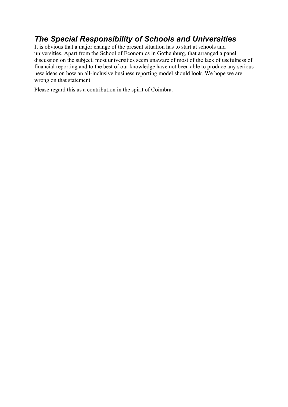## *The Special Responsibility of Schools and Universities*

It is obvious that a major change of the present situation has to start at schools and universities. Apart from the School of Economics in Gothenburg, that arranged a panel discussion on the subject, most universities seem unaware of most of the lack of usefulness of financial reporting and to the best of our knowledge have not been able to produce any serious new ideas on how an all-inclusive business reporting model should look. We hope we are wrong on that statement.

Please regard this as a contribution in the spirit of Coimbra.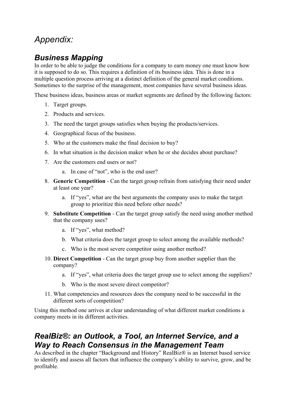# *Appendix:*

## *Business Mapping*

In order to be able to judge the conditions for a company to earn money one must know how it is supposed to do so. This requires a definition of its business idea. This is done in a multiple question process arriving at a distinct definition of the general market conditions. Sometimes to the surprise of the management, most companies have several business ideas.

These business ideas, business areas or market segments are defined by the following factors:

- 1. Target groups.
- 2. Products and services.
- 3. The need the target groups satisfies when buying the products/services.
- 4. Geographical focus of the business.
- 5. Who at the customers make the final decision to buy?
- 6. In what situation is the decision maker when he or she decides about purchase?
- 7. Are the customers end users or not?
	- a. In case of "not", who is the end user?
- 8. **Generic Competition** Can the target group refrain from satisfying their need under at least one year?
	- a. If "yes", what are the best arguments the company uses to make the target group to prioritize this need before other needs?
- 9. **Substitute Competition** Can the target group satisfy the need using another method that the company uses?
	- a. If "yes", what method?
	- b. What criteria does the target group to select among the available methods?
	- c. Who is the most severe competitor using another method?
- 10. **Direct Competition** Can the target group buy from another supplier than the company?
	- a. If "yes", what criteria does the target group use to select among the suppliers?
	- b. Who is the most severe direct competitor?
- 11. What competencies and resources does the company need to be successful in the different sorts of competition?

Using this method one arrives at clear understanding of what different market conditions a company meets in its different activities.

## *RealBiz®: an Outlook, a Tool, an Internet Service, and a Way to Reach Consensus in the Management Team*

As described in the chapter "Background and History" RealBiz® is an Internet based service to identify and assess all factors that influence the company's ability to survive, grow, and be profitable.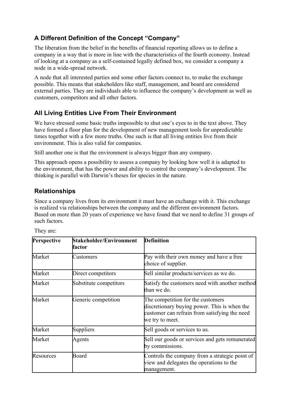## **A Different Definition of the Concept "Company"**

The liberation from the belief in the benefits of financial reporting allows us to define a company in a way that is more in line with the characteristics of the fourth economy. Instead of looking at a company as a self-contained legally defined box, we consider a company a node in a wide-spread network.

A node that all interested parties and some other factors connect to, to make the exchange possible. This means that stakeholders like staff, management, and board are considered external parties. They are individuals able to influence the company's development as well as customers, competitors and all other factors.

### **All Living Entities Live From Their Environment**

We have stressed some basic truths impossible to shut one's eyes to in the text above. They have formed a floor plan for the development of new management tools for unpredictable times together with a few more truths. One such is that all living entities live from their environment. This is also valid for companies.

Still another one is that the environment is always bigger than any company.

This approach opens a possibility to assess a company by looking how well it is adapted to the environment, that has the power and ability to control the company's development. The thinking is parallel with Darwin's theses for species in the nature.

## **Relationships**

Since a company lives from its environment it must have an exchange with it. This exchange is realized via relationships between the company and the different environment factors. Based on more than 20 years of experience we have found that we need to define 31 groups of such factors.

| Perspective | Stakeholder/Environment<br>factor | <b>Definition</b>                                                                                                                                     |
|-------------|-----------------------------------|-------------------------------------------------------------------------------------------------------------------------------------------------------|
| Market      | Customers                         | Pay with their own money and have a free<br>choice of supplier.                                                                                       |
| Market      | Direct competitors                | Sell similar products/services as we do.                                                                                                              |
| Market      | Substitute competitors            | Satisfy the customers need with another method<br>than we do.                                                                                         |
| Market      | Generic competition               | The competition for the customers<br>discretionary buying power. This is when the<br>customer can refrain from satisfying the need<br>we try to meet. |
| Market      | Suppliers                         | Sell goods or services to us.                                                                                                                         |
| Market      | Agents                            | Sell our goods or services and gets remunerated<br>by commissions.                                                                                    |
| Resources   | Board                             | Controls the company from a strategic point of<br>view and delegates the operations to the<br>management.                                             |

They are: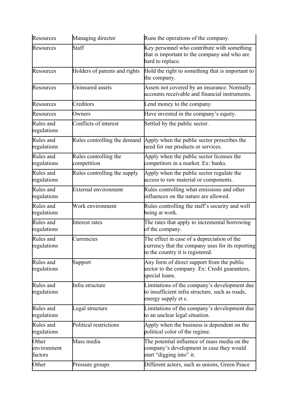| Resources                       | Managing director                    | Runs the operations of the company.                                                                                                 |
|---------------------------------|--------------------------------------|-------------------------------------------------------------------------------------------------------------------------------------|
| Resources                       | Staff                                | Key personnel who contribute with something<br>that is important to the company and who are<br>hard to replace.                     |
| Resources                       | Holders of patents and rights        | Hold the right to something that is important to<br>the company.                                                                    |
| Resources                       | Uninsured assets                     | Assets not covered by an insurance. Normally<br>accounts receivable and financial instruments.                                      |
| Resources                       | Creditors                            | Lend money to the company.                                                                                                          |
| Resources                       | Owners                               | Have invested in the company's equity.                                                                                              |
| Rules and<br>regulations        | Conflicts of interest                | Settled by the public sector.                                                                                                       |
| Rules and<br>regulations        | Rules controlling the demand         | Apply when the public sector prescribes the<br>need for our products or services.                                                   |
| Rules and<br>regulations        | Rules controlling the<br>competition | Apply when the public sector licenses the<br>competitors in a market. Ex: banks.                                                    |
| Rules and<br>regulations        | Rules controlling the supply         | Apply when the public sector regulate the<br>access to raw material or components.                                                  |
| Rules and<br>regulations        | <b>External environment</b>          | Rules controlling what emissions and other<br>influences on the nature are allowed.                                                 |
| Rules and<br>regulations        | Work environment                     | Rules controlling the staff's security and well<br>being at work.                                                                   |
| Rules and<br>regulations        | Interest rates                       | The rates that apply to incremental borrowing<br>of the company.                                                                    |
| Rules and<br>regulations        | Currencies                           | The effect in case of a depreciation of the<br>currency that the company uses for its reporting<br>in the country it is registered. |
| Rules and<br>regulations        | Support                              | Any form of direct support from the public<br>sector to the company. Ex: Credit guarantees,<br>special loans.                       |
| Rules and<br>regulations        | Infra structure                      | Limitations of the company's development due<br>to insufficient infra structure, such as roads,<br>energy supply et c.              |
| Rules and<br>regulations        | Legal structure                      | Limitations of the company's development due<br>to an unclear legal situation.                                                      |
| Rules and<br>regulations        | Political restrictions               | Apply when the business is dependent on the<br>political color of the regime.                                                       |
| Other<br>environment<br>factors | Mass media                           | The potential influence of mass media on the<br>company's development in case they would<br>start "digging into" it.                |
| Other                           | Pressure groups                      | Different actors, such as unions, Green Peace                                                                                       |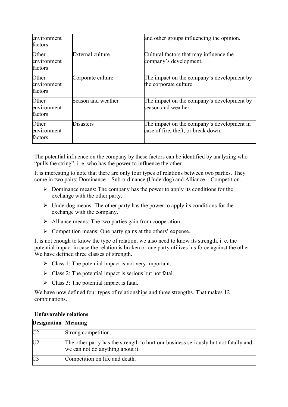| environment<br>factors          |                    | and other groups influencing the opinion.                                         |
|---------------------------------|--------------------|-----------------------------------------------------------------------------------|
| Other<br>environment<br>factors | External culture   | Cultural factors that may influence the<br>company's development.                 |
| Other<br>environment<br>factors | Corporate culture  | The impact on the company's development by<br>the corporate culture.              |
| Other<br>environment<br>factors | Season and weather | The impact on the company's development by<br>season and weather.                 |
| Other<br>environment<br>factors | Disasters          | The impact on the company's development in<br>case of fire, theft, or break down. |

The potential influence on the company by these factors can be identified by analyzing who "pulls the string", i. e. who has the power to influence the other.

It is interesting to note that there are only four types of relations between two parties. They come in two pairs: Dominance – Sub-ordinance (Underdog) and Alliance – Competition.

- $\triangleright$  Dominance means: The company has the power to apply its conditions for the exchange with the other party.
- $\triangleright$  Underdog means: The other party has the power to apply its conditions for the exchange with the company.
- $\triangleright$  Alliance means: The two parties gain from cooperation.
- $\triangleright$  Competition means: One party gains at the others' expense.

It is not enough to know the type of relation, we also need to know its strength, i. e. the potential impact in case the relation is broken or one party utilizes his force against the other. We have defined three classes of strength.

- $\triangleright$  Class 1: The potential impact is not very important.
- $\triangleright$  Class 2: The potential impact is serious but not fatal.
- $\triangleright$  Class 3: The potential impact is fatal.

We have now defined four types of relationships and three strengths. That makes 12 combinations.

| <b>Designation Meaning</b> |                                                                                                                         |
|----------------------------|-------------------------------------------------------------------------------------------------------------------------|
| C <sub>2</sub>             | Strong competition.                                                                                                     |
| U <sub>2</sub>             | The other party has the strength to hurt our business seriously but not fatally and<br>we can not do anything about it. |
| C <sub>3</sub>             | Competition on life and death.                                                                                          |

#### **Unfavorable relations**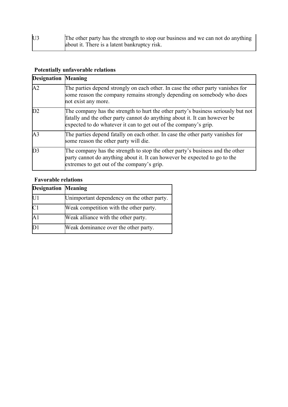| U3 | The other party has the strength to stop our business and we can not do anything |
|----|----------------------------------------------------------------------------------|
|    | about it. There is a latent bankruptcy risk.                                     |

## **Potentially unfavorable relations**

| <b>Designation Meaning</b> |                                                                                                                                                                                                                                     |
|----------------------------|-------------------------------------------------------------------------------------------------------------------------------------------------------------------------------------------------------------------------------------|
| A <sub>2</sub>             | The parties depend strongly on each other. In case the other party vanishes for<br>some reason the company remains strongly depending on somebody who does<br>not exist any more.                                                   |
| D2                         | The company has the strength to hurt the other party's business seriously but not<br>fatally and the other party cannot do anything about it. It can however be<br>expected to do whatever it can to get out of the company's grip. |
| A <sub>3</sub>             | The parties depend fatally on each other. In case the other party vanishes for<br>some reason the other party will die.                                                                                                             |
| D <sub>3</sub>             | The company has the strength to stop the other party's business and the other<br>party cannot do anything about it. It can however be expected to go to the<br>extremes to get out of the company's grip.                           |

## **Favorable relations**

| <b>Designation Meaning</b> |                                            |
|----------------------------|--------------------------------------------|
| U1                         | Unimportant dependency on the other party. |
| C <sub>1</sub>             | Weak competition with the other party.     |
| $\mathbf{A}1$              | Weak alliance with the other party.        |
|                            | Weak dominance over the other party.       |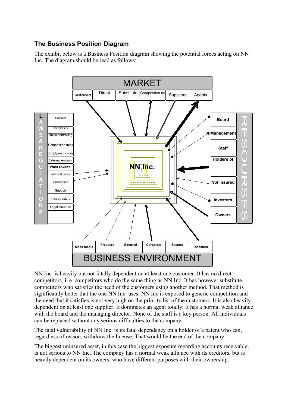### **The Business Position Diagram**

The exhibit below is a Business Position diagram showing the potential forces acting on NN Inc. The diagram should be read as follows:



NN Inc. is heavily but not fatally dependent on at least one customer. It has no direct competitors, i. e. competitors who do the same thing as NN Inc. It has however substitute competitors who satisfies the need of the customers using another method. That method is significantly better that the one NN Inc. uses. NN Inc is exposed to generic competition and the need that it satisfies is not very high on the priority list of the customers. It is also heavily dependent on at least one supplier. It dominates an agent totally. It has a normal weak alliance with the board and the managing director. None of the staff is a key person. All individuals can be replaced without any serious difficulties to the company.

The fatal vulnerability of NN Inc. is its fatal dependency on a holder of a patent who can, regardless of reason, withdraw the license. That would be the end of the company.

The biggest uninsured asset, in this case the biggest exposure regarding accounts receivable, is not serious to NN Inc. The company has a normal weak alliance with its creditors, but is heavily dependent on its owners, who have different purposes with their ownership.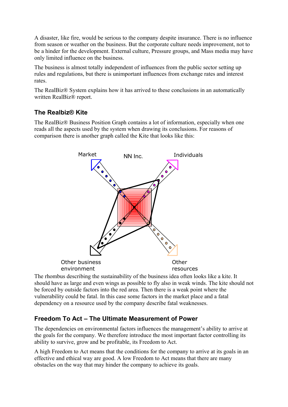A disaster, like fire, would be serious to the company despite insurance. There is no influence from season or weather on the business. But the corporate culture needs improvement, not to be a hinder for the development. External culture, Pressure groups, and Mass media may have only limited influence on the business.

The business is almost totally independent of influences from the public sector setting up rules and regulations, but there is unimportant influences from exchange rates and interest rates.

The RealBiz® System explains how it has arrived to these conclusions in an automatically written RealBiz® report.

### **The Realbiz® Kite**

The RealBiz® Business Position Graph contains a lot of information, especially when one reads all the aspects used by the system when drawing its conclusions. For reasons of comparison there is another graph called the Kite that looks like this:



The rhombus describing the sustainability of the business idea often looks like a kite. It should have as large and even wings as possible to fly also in weak winds. The kite should not be forced by outside factors into the red area. Then there is a weak point where the vulnerability could be fatal. In this case some factors in the market place and a fatal dependency on a resource used by the company describe fatal weaknesses.

## **Freedom To Act – The Ultimate Measurement of Power**

The dependencies on environmental factors influences the management's ability to arrive at the goals for the company. We therefore introduce the most important factor controlling its ability to survive, grow and be profitable, its Freedom to Act.

A high Freedom to Act means that the conditions for the company to arrive at its goals in an effective and ethical way are good. A low Freedom to Act means that there are many obstacles on the way that may hinder the company to achieve its goals.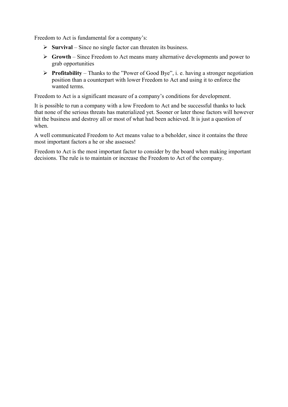Freedom to Act is fundamental for a company's:

- $\triangleright$  **Survival** Since no single factor can threaten its business.
- **Growth** Since Freedom to Act means many alternative developments and power to grab opportunities
- **Profitability** Thanks to the "Power of Good Bye", i. e. having a stronger negotiation position than a counterpart with lower Freedom to Act and using it to enforce the wanted terms.

Freedom to Act is a significant measure of a company's conditions for development.

It is possible to run a company with a low Freedom to Act and be successful thanks to luck that none of the serious threats has materialized yet. Sooner or later those factors will however hit the business and destroy all or most of what had been achieved. It is just a question of when.

A well communicated Freedom to Act means value to a beholder, since it contains the three most important factors a he or she assesses!

Freedom to Act is the most important factor to consider by the board when making important decisions. The rule is to maintain or increase the Freedom to Act of the company.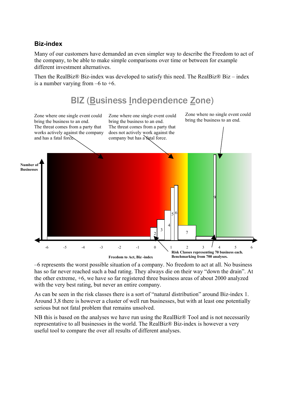### **Biz-index**

Many of our customers have demanded an even simpler way to describe the Freedom to act of the company, to be able to make simple comparisons over time or between for example different investment alternatives.

Then the RealBiz® Biz-index was developed to satisfy this need. The RealBiz® Biz – index is a number varying from  $-6$  to  $+6$ .



–6 represents the worst possible situation of a company. No freedom to act at all. No business has so far never reached such a bad rating. They always die on their way "down the drain". At the other extreme, +6, we have so far registered three business areas of about 2000 analyzed with the very best rating, but never an entire company.

As can be seen in the risk classes there is a sort of "natural distribution" around Biz-index 1. Around 3,8 there is however a cluster of well run businesses, but with at least one potentially serious but not fatal problem that remains unsolved.

NB this is based on the analyses we have run using the RealBiz® Tool and is not necessarily representative to all businesses in the world. The RealBiz® Biz-index is however a very useful tool to compare the over all results of different analyses.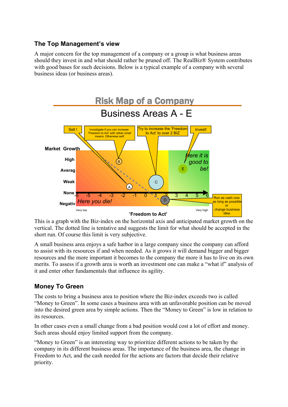## **The Top Management's view**

A major concern for the top management of a company or a group is what business areas should they invest in and what should rather be pruned off. The RealBiz® System contributes with good bases for such decisions. Below is a typical example of a company with several business ideas (or business areas).



This is a graph with the Biz-index on the horizontal axis and anticipated market growth on the vertical. The dotted line is tentative and suggests the limit for what should be accepted in the short run. Of course this limit is very subjective.

A small business area enjoys a safe harbor in a large company since the company can afford to assist with its resources if and when needed. As it grows it will demand bigger and bigger resources and the more important it becomes to the company the more it has to live on its own merits. To assess if a growth area is worth an investment one can make a "what if" analysis of it and enter other fundamentals that influence its agility.

### **Money To Green**

The costs to bring a business area to position where the Biz-index exceeds two is called "Money to Green". In some cases a business area with an unfavorable position can be moved into the desired green area by simple actions. Then the "Money to Green" is low in relation to its resources.

In other cases even a small change from a bad position would cost a lot of effort and money. Such areas should enjoy limited support from the company.

"Money to Green" is an interesting way to prioritize different actions to be taken by the company in its different business areas. The importance of the business area, the change in Freedom to Act, and the cash needed for the actions are factors that decide their relative priority.